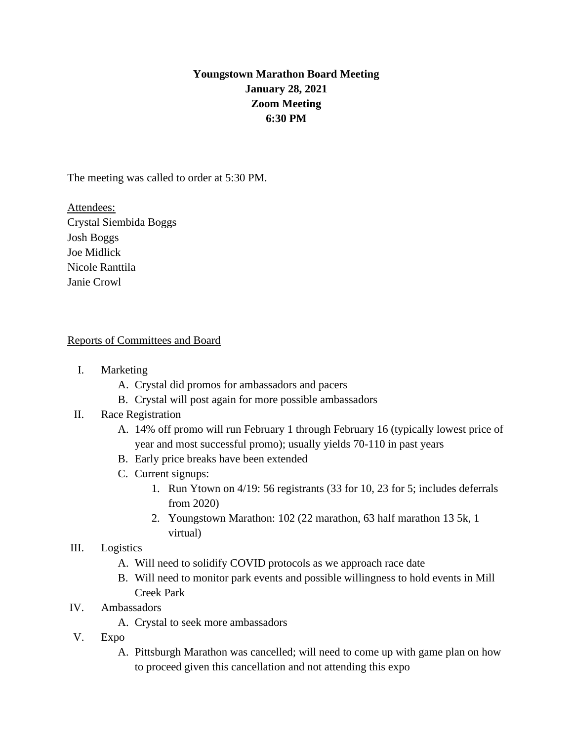# **Youngstown Marathon Board Meeting January 28, 2021 Zoom Meeting 6:30 PM**

The meeting was called to order at 5:30 PM.

Attendees: Crystal Siembida Boggs Josh Boggs Joe Midlick Nicole Ranttila Janie Crowl

## Reports of Committees and Board

- I. Marketing
	- A. Crystal did promos for ambassadors and pacers
	- B. Crystal will post again for more possible ambassadors
- II. Race Registration
	- A. 14% off promo will run February 1 through February 16 (typically lowest price of year and most successful promo); usually yields 70-110 in past years
	- B. Early price breaks have been extended
	- C. Current signups:
		- 1. Run Ytown on 4/19: 56 registrants (33 for 10, 23 for 5; includes deferrals from 2020)
		- 2. Youngstown Marathon: 102 (22 marathon, 63 half marathon 13 5k, 1 virtual)

# III. Logistics

- A. Will need to solidify COVID protocols as we approach race date
- B. Will need to monitor park events and possible willingness to hold events in Mill Creek Park
- IV. Ambassadors
	- A. Crystal to seek more ambassadors
- V. Expo
	- A. Pittsburgh Marathon was cancelled; will need to come up with game plan on how to proceed given this cancellation and not attending this expo